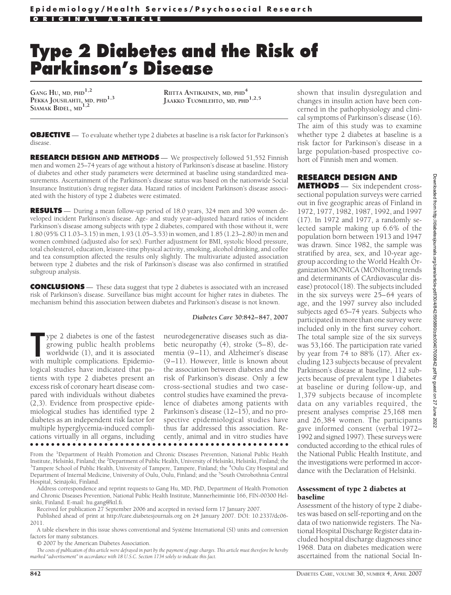# **Type 2 Diabetes and the Risk of Parkinson's Disease**

**GANG HU, MD, PHD1,2 PEKKA JOUSILAHTI, MD, PHD1,3 SIAMAK BIDEL, MD1,2**

**RIITTA ANTIKAINEN, MD, PHD<sup>4</sup> JAAKKO TUOMILEHTO, MD, PHD1,2,5**

**OBJECTIVE** — To evaluate whether type 2 diabetes at baseline is a risk factor for Parkinson's disease.

**RESEARCH DESIGN AND METHODS** — We prospectively followed 51,552 Finnish men and women 25–74 years of age without a history of Parkinson's disease at baseline. History of diabetes and other study parameters were determined at baseline using standardized measurements. Ascertainment of the Parkinson's disease status was based on the nationwide Social Insurance Institution's drug register data. Hazard ratios of incident Parkinson's disease associated with the history of type 2 diabetes were estimated.

**RESULTS** — During a mean follow-up period of 18.0 years, 324 men and 309 women developed incident Parkinson's disease. Age- and study year–adjusted hazard ratios of incident Parkinson's disease among subjects with type 2 diabetes, compared with those without it, were 1.80 (95% CI 1.03–3.15) in men, 1.93 (1.05–3.53) in women, and 1.85 (1.23–2.80) in men and women combined (adjusted also for sex). Further adjustment for BMI, systolic blood pressure, total cholesterol, education, leisure-time physical activity, smoking, alcohol drinking, and coffee and tea consumption affected the results only slightly. The multivariate adjusted association between type 2 diabetes and the risk of Parkinson's disease was also confirmed in stratified subgroup analysis.

**CONCLUSIONS** — These data suggest that type 2 diabetes is associated with an increased risk of Parkinson's disease. Surveillance bias might account for higher rates in diabetes. The mechanism behind this association between diabetes and Parkinson's disease is not known.

#### *Diabetes Care* **30:842– 847, 2007**

The property of the fastest growing public health problems worldwide (1), and it is associated with multiple complications. Epidemioype 2 diabetes is one of the fastest growing public health problems worldwide (1), and it is associated logical studies have indicated that patients with type 2 diabetes present an excess risk of coronary heart disease compared with individuals without diabetes (2,3). Evidence from prospective epidemiological studies has identified type 2 diabetes as an independent risk factor for multiple hyperglycemia-induced complications virtually in all organs, including ●●●●●●●●●●●●●●●●●●●●●●●●●●●●●●●●●●●●●●●●●●●●●●●●●

neurodegenerative diseases such as diabetic neuropathy (4), stroke (5–8), dementia (9–11), and Alzheimer's disease (9–11). However, little is known about the association between diabetes and the risk of Parkinson's disease. Only a few cross-sectional studies and two casecontrol studies have examined the prevalence of diabetes among patients with Parkinson's disease (12–15), and no prospective epidemiological studies have thus far addressed this association. Recently, animal and in vitro studies have

From the <sup>1</sup>Department of Health Promotion and Chronic Diseases Prevention, National Public Health Institute, Helsinki, Finland; the <sup>2</sup>Department of Public Health, University of Helsinki, Helsinki, Finland; the<br><sup>3</sup>Tampere School of Public Health, University of Tampere, Tampere, Finland; the <sup>4</sup>Ouly City Hospital and Tampere School of Public Health, University of Tampere, Tampere, Finland; the <sup>4</sup>Oulu City Hospital and Department of Internal Medicine, University of Oulu, Oulu, Finland; and the <sup>5</sup>South Ostrobothnia Central Hospital, Seinäjoki, Finland.

Address correspondence and reprint requests to Gang Hu, MD, PhD, Department of Health Promotion and Chronic Diseases Prevention, National Public Health Institute, Mannerheimintie 166, FIN-00300 Helsinki, Finland. E-mail: hu.gang@ktl.fi.

Received for publication 27 September 2006 and accepted in revised form 17 January 2007.

Published ahead of print at http://care.diabetesjournals.org on 24 January 2007. DOI: 10.2337/dc06- 2011.

A table elsewhere in this issue shows conventional and Système International (SI) units and conversion factors for many substances.

© 2007 by the American Diabetes Association.

*The costs of publication of this article were defrayed in part by the payment of page charges. This article must therefore be hereby marked "advertisement" in accordance with 18 U.S.C. Section 1734 solely to indicate this fact.*

shown that insulin dysregulation and changes in insulin action have been concerned in the pathophysiology and clinical symptoms of Parkinson's disease (16). The aim of this study was to examine whether type 2 diabetes at baseline is a risk factor for Parkinson's disease in a large population-based prospective cohort of Finnish men and women.

# **RESEARCH DESIGN AND**

**METHODS** — Six independent crosssectional population surveys were carried out in five geographic areas of Finland in 1972, 1977, 1982, 1987, 1992, and 1997 (17). In 1972 and 1977, a randomly selected sample making up 6.6% of the population born between 1913 and 1947 was drawn. Since 1982, the sample was stratified by area, sex, and 10-year agegroup according to the World Health Organization MONICA (MONItoring trends and determinants of CArdiovascular disease) protocol (18). The subjects included in the six surveys were 25–64 years of age, and the 1997 survey also included subjects aged 65–74 years. Subjects who participated in more than one survey were included only in the first survey cohort. The total sample size of the six surveys was 53,166. The participation rate varied by year from 74 to 88% (17). After excluding 123 subjects because of prevalent Parkinson's disease at baseline, 112 subjects because of prevalent type 1 diabetes at baseline or during follow-up, and 1,379 subjects because of incomplete data on any variables required, the present analyses comprise 25,168 men and 26,384 women. The participants gave informed consent (verbal 1972– 1992 and signed 1997). These surveys were conducted according to the ethical rules of the National Public Health Institute, and the investigations were performed in accordance with the Declaration of Helsinki.

#### Assessment of type 2 diabetes at baseline

Assessment of the history of type 2 diabetes was based on self-reporting and on the data of two nationwide registers. The National Hospital Discharge Register data included hospital discharge diagnoses since 1968. Data on diabetes medication were ascertained from the national Social In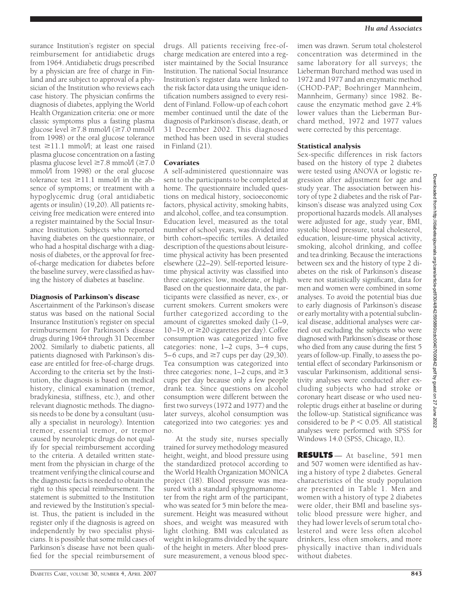surance Institution's register on special reimbursement for antidiabetic drugs from 1964. Antidiabetic drugs prescribed by a physician are free of charge in Finland and are subject to approval of a physician of the Institution who reviews each case history. The physician confirms the diagnosis of diabetes, applying the World Health Organization criteria: one or more classic symptoms plus a fasting plasma glucose level  $\geq 7.8$  mmol/l ( $\geq 7.0$  mmol/l from 1998) or the oral glucose tolerance test  $\geq$ 11.1 mmol/l; at least one raised plasma glucose concentration on a fasting plasma glucose level  $\geq 7.8$  mmol/l ( $\geq 7.0$ ) mmol/l from 1998) or the oral glucose tolerance test  $\geq$ 11.1 mmol/l in the absence of symptoms; or treatment with a hypoglycemic drug (oral antidiabetic agents or insulin) (19,20). All patients receiving free medication were entered into a register maintained by the Social Insurance Institution. Subjects who reported having diabetes on the questionnaire, or who had a hospital discharge with a diagnosis of diabetes, or the approval for freeof-charge medication for diabetes before the baseline survey, were classified as having the history of diabetes at baseline.

#### Diagnosis of Parkinson's disease

Ascertainment of the Parkinson's disease status was based on the national Social Insurance Institution's register on special reimbursement for Parkinson's disease drugs during 1964 through 31 December 2002. Similarly to diabetic patients, all patients diagnosed with Parkinson's disease are entitled for free-of-charge drugs. According to the criteria set by the Institution, the diagnosis is based on medical history, clinical examination (tremor, bradykinesia, stiffness, etc.), and other relevant diagnostic methods. The diagnosis needs to be done by a consultant (usually a specialist in neurology). Intention tremor, essential tremor, or tremor caused by neuroleptic drugs do not qualify for special reimbursement according to the criteria. A detailed written statement from the physician in charge of the treatment verifying the clinical course and the diagnostic facts is needed to obtain the right to this special reimbursement. The statement is submitted to the Institution and reviewed by the Institution's specialist. Thus, the patient is included in the register only if the diagnosis is agreed on independently by two specialist physicians. It is possible that some mild cases of Parkinson's disease have not been qualified for the special reimbursement of

drugs. All patients receiving free-ofcharge medication are entered into a register maintained by the Social Insurance Institution. The national Social Insurance Institution's register data were linked to the risk factor data using the unique identification numbers assigned to every resident of Finland. Follow-up of each cohort member continued until the date of the diagnosis of Parkinson's disease, death, or 31 December 2002. This diagnosed method has been used in several studies in Finland (21).

# Covariates

A self-administered questionnaire was sent to the participants to be completed at home. The questionnaire included questions on medical history, socioeconomic factors, physical activity, smoking habits, and alcohol, coffee, and tea consumption. Education level, measured as the total number of school years, was divided into birth cohort–specific tertiles. A detailed description of the questions about leisuretime physical activity has been presented elsewhere (22–29). Self-reported leisuretime physical activity was classified into three categories: low, moderate, or high. Based on the questionnaire data, the participants were classified as never, ex-, or current smokers. Current smokers were further categorized according to the amount of cigarettes smoked daily (1–9,  $10-19$ , or  $\geq$  20 cigarettes per day). Coffee consumption was categorized into five categories: none, 1–2 cups, 3–4 cups, 5–6 cups, and  $\geq 7$  cups per day (29,30). Tea consumption was categorized into three categories: none,  $1-2$  cups, and  $\geq 3$ cups per day because only a few people drank tea. Since questions on alcohol consumption were different between the first two surveys (1972 and 1977) and the later surveys, alcohol consumption was categorized into two categories: yes and no.

At the study site, nurses specially trained for survey methodology measured height, weight, and blood pressure using the standardized protocol according to the World Health Organization MONICA project (18). Blood pressure was measured with a standard sphygmomanometer from the right arm of the participant, who was seated for 5 min before the measurement. Height was measured without shoes, and weight was measured with light clothing. BMI was calculated as weight in kilograms divided by the square of the height in meters. After blood pressure measurement, a venous blood specimen was drawn. Serum total cholesterol concentration was determined in the same laboratory for all surveys; the Lieberman Burchard method was used in 1972 and 1977 and an enzymatic method (CHOD-PAP; Boehringer Mannheim, Mannheim, Germany) since 1982. Because the enzymatic method gave 2.4% lower values than the Lieberman Burchard method, 1972 and 1977 values were corrected by this percentage.

# Statistical analysis

Sex-specific differences in risk factors based on the history of type 2 diabetes were tested using ANOVA or logistic regression after adjustment for age and study year. The association between history of type 2 diabetes and the risk of Parkinson's disease was analyzed using Cox proportional hazards models. All analyses were adjusted for age, study year, BMI, systolic blood pressure, total cholesterol, education, leisure-time physical activity, smoking, alcohol drinking, and coffee and tea drinking. Because the interactions between sex and the history of type 2 diabetes on the risk of Parkinson's disease were not statistically significant, data for men and women were combined in some analyses. To avoid the potential bias due to early diagnosis of Parkinson's disease or early mortality with a potential subclinical disease, additional analyses were carried out excluding the subjects who were diagnosed with Parkinson's disease or those who died from any cause during the first 5 years of follow-up. Finally, to assess the potential effect of secondary Parkinsonism or vascular Parkinsonism, additional sensitivity analyses were conducted after excluding subjects who had stroke or coronary heart disease or who used neuroleptic drugs either at baseline or during the follow-up. Statistical significance was considered to be  $P < 0.05$ . All statistical analyses were performed with SPSS for Windows 14.0 (SPSS, Chicago, IL).

**RESULTS** — At baseline, 591 men and 507 women were identified as having a history of type 2 diabetes. General characteristics of the study population are presented in Table 1. Men and women with a history of type 2 diabetes were older, their BMI and baseline systolic blood pressure were higher, and they had lower levels of serum total cholesterol and were less often alcohol drinkers, less often smokers, and more physically inactive than individuals without diabetes.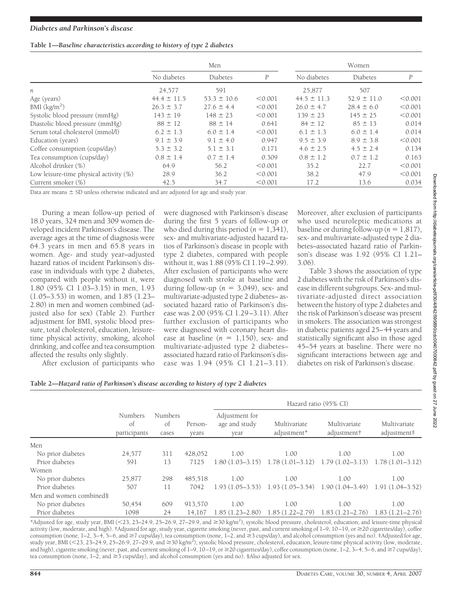# **Table 1—***Baseline characteristics according to history of type 2 diabetes*

|                                           | Men             |                 |         | Women           |                 |                  |  |
|-------------------------------------------|-----------------|-----------------|---------|-----------------|-----------------|------------------|--|
|                                           | No diabetes     | Diabetes        | P       | No diabetes     | Diabetes        | $\boldsymbol{P}$ |  |
| n                                         | 24,577          | 591             |         | 25.877          | 507             |                  |  |
| Age (years)                               | $44.4 \pm 11.5$ | $53.3 \pm 10.6$ | < 0.001 | $44.5 \pm 11.3$ | $52.9 \pm 11.0$ | < 0.001          |  |
| BMI (kg/m <sup>2</sup> )                  | $26.3 \pm 3.7$  | $27.6 \pm 4.4$  | < 0.001 | $26.0 \pm 4.7$  | $28.4 \pm 6.0$  | < 0.001          |  |
| Systolic blood pressure (mmHg)            | $143 \pm 19$    | $148 \pm 23$    | < 0.001 | $139 \pm 23$    | $145 \pm 25$    | < 0.001          |  |
| Diastolic blood pressure (mmHg)           | $88 \pm 12$     | $88 \pm 14$     | 0.641   | $84 \pm 12$     | $85 \pm 13$     | 0.014            |  |
| Serum total cholesterol (mmol/l)          | $6.2 \pm 1.3$   | $6.0 \pm 1.4$   | < 0.001 | $6.1 \pm 1.3$   | $6.0 \pm 1.4$   | 0.014            |  |
| Education (years)                         | $9.1 \pm 3.9$   | $9.1 \pm 4.0$   | 0.947   | $9.5 \pm 3.9$   | $8.9 \pm 3.8$   | < 0.001          |  |
| Coffee consumption (cups/day)             | $5.3 \pm 3.2$   | $5.1 \pm 3.1$   | 0.171   | $4.6 \pm 2.5$   | $4.5 \pm 2.4$   | 0.134            |  |
| Tea consumption (cups/day)                | $0.8 \pm 1.4$   | $0.7 \pm 1.4$   | 0.309   | $0.8 \pm 1.2$   | $0.7 \pm 1.2$   | 0.163            |  |
| Alcohol drinker (%)                       | 64.9            | 56.2            | < 0.001 | 35.2            | 22.7            | < 0.001          |  |
| Low leisure-time physical activity $(\%)$ | 28.9            | 36.2            | < 0.001 | 38.2            | 47.9            | < 0.001          |  |
| Current smoker (%)                        | 42.5            | 34.7            | < 0.001 | 17.2            | 13.6            | 0.034            |  |

Data are means  $\pm$  SD unless otherwise indicated and are adjusted for age and study year.

During a mean follow-up period of 18.0 years, 324 men and 309 women developed incident Parkinson's disease. The average ages at the time of diagnosis were 64.3 years in men and 65.8 years in women. Age- and study year–adjusted hazard ratios of incident Parkinson's disease in individuals with type 2 diabetes, compared with people without it, were 1.80 (95% CI 1.03–3.15) in men, 1.93 (1.05–3.53) in women, and 1.85 (1.23– 2.80) in men and women combined (adjusted also for sex) (Table 2). Further adjustment for BMI, systolic blood pressure, total cholesterol, education, leisuretime physical activity, smoking, alcohol drinking, and coffee and tea consumption affected the results only slightly.

After exclusion of participants who

were diagnosed with Parkinson's disease during the first 5 years of follow-up or who died during this period  $(n = 1,341)$ , sex- and multivariate-adjusted hazard ratios of Parkinson's disease in people with type 2 diabetes, compared with people without it, was 1.88 (95% CI 1.19–2.99). After exclusion of participants who were diagnosed with stroke at baseline and during follow-up  $(n = 3,049)$ , sex- and multivariate-adjusted type 2 diabetes– associated hazard ratio of Parkinson's disease was 2.00 (95% CI 1.29–3.11). After further exclusion of participants who were diagnosed with coronary heart disease at baseline  $(n = 1,150)$ , sex- and multivariate-adjusted type 2 diabetes– associated hazard ratio of Parkinson's disease was 1.94 (95% CI 1.21–3.11).

Moreover, after exclusion of participants who used neuroleptic medications at baseline or during follow-up ( $n = 1,817$ ), sex- and multivariate-adjusted type 2 diabetes–associated hazard ratio of Parkinson's disease was 1.92 (95% CI 1.21– 3.06).

Table 3 shows the association of type 2 diabetes with the risk of Parkinson's disease in different subgroups. Sex- and multivariate-adjusted direct association between the history of type 2 diabetes and the risk of Parkinson's disease was present in smokers. The association was strongest in diabetic patients aged 25–44 years and statistically significant also in those aged 45–54 years at baseline. There were no significant interactions between age and diabetes on risk of Parkinson's disease.

|  | Table 2-Hazard ratio of Parkinson's disease according to history of type 2 diabetes |
|--|-------------------------------------------------------------------------------------|
|  |                                                                                     |

|                         |                               |                        |                  | Hazard ratio (95% CI)                   |                                                       |                             |                             |  |
|-------------------------|-------------------------------|------------------------|------------------|-----------------------------------------|-------------------------------------------------------|-----------------------------|-----------------------------|--|
|                         | Numbers<br>of<br>participants | Numbers<br>οf<br>cases | Person-<br>vears | Adjustment for<br>age and study<br>vear | Multivariate<br>adjustment*                           | Multivariate<br>adjustment† | Multivariate<br>adjustment# |  |
| Men                     |                               |                        |                  |                                         |                                                       |                             |                             |  |
| No prior diabetes       | 24,577                        | 311                    | 428.052          | 1.00                                    | 1.00                                                  | 1.00                        | 1.00                        |  |
| Prior diabetes          | 591                           | 13                     | 7125             | $1.80(1.03 - 3.15)$                     | $1.78(1.01-3.12)$ $1.79(1.02-3.13)$                   |                             | $1.78(1.01-3.12)$           |  |
| Women                   |                               |                        |                  |                                         |                                                       |                             |                             |  |
| No prior diabetes       | 25,877                        | 298                    | 485,518          | 1.00                                    | 1.00                                                  | 1.00                        | 1.00                        |  |
| Prior diabetes          | 507                           | 11                     | 7042             |                                         | $1.93(1.05-3.53)$ $1.93(1.05-3.54)$ $1.90(1.04-3.49)$ |                             | $1.91(1.04 - 3.52)$         |  |
| Men and women combined§ |                               |                        |                  |                                         |                                                       |                             |                             |  |
| No prior diabetes       | 50,454                        | 609                    | 913.570          | 1.00                                    | 1.00                                                  | 1.00                        | 1.00                        |  |
| Prior diabetes          | 1098                          | 24                     | 14.167           | $1.85(1.23 - 2.80)$                     | $1.85(1.22 - 2.79)$                                   | $1.83(1.21 - 2.76)$         | $1.83(1.21 - 2.76)$         |  |

\*Adjusted for age, study year, BMI (<23, 23-24.9, 25-26.9, 27-29.9, and  $\geq$ 30 kg/m<sup>2</sup>), systolic blood pressure, cholesterol, education, and leisure-time physical activity (low, moderate, and high). †Adjusted for age, study year, cigarette smoking (never, past, and current smoking of 1–9, 10–19, or 20 cigarettes/day), coffee consumption (none, 1–2, 3–4, 5–6, and  $\geq 7$  cups/day), tea consumption (none, 1–2, and  $\geq 3$  cups/day), and alcohol consumption (yes and no). ‡Adjusted for age, study year, BMI (<23, 23–24.9, 25–26.9, 27–29.9, and  $\geq$ 30 kg/m<sup>2</sup>), systolic blood pressure, cholesterol, education, leisure-time physical activity (low, moderate, and high), cigarette smoking (never, past, and current smoking of 1–9, 10–19, or  $\geq$ 20 cigarettes/day), coffee consumption (none, 1–2, 3–4, 5–6, and  $\geq$ 7 cups/day), tea consumption (none,  $1-2$ , and  $\geq 3$  cups/day), and alcohol consumption (yes and no). §Also adjusted for sex.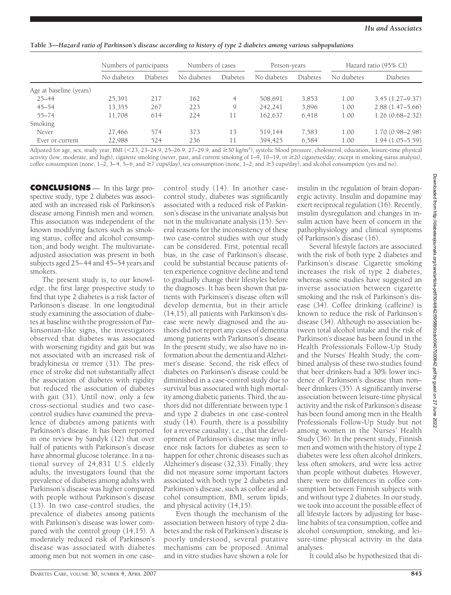**Table 3—***Hazard ratio of Parkinson's disease according to history of type 2 diabetes among various subpopulations*

|                         | Numbers of participants |          | Numbers of cases |          | Person-years |          | Hazard ratio (95% CI) |                     |
|-------------------------|-------------------------|----------|------------------|----------|--------------|----------|-----------------------|---------------------|
|                         | No diabetes             | Diabetes | No diabetes      | Diabetes | No diabetes  | Diabetes | No diabetes           | <b>Diabetes</b>     |
| Age at baseline (years) |                         |          |                  |          |              |          |                       |                     |
| $25 - 44$               | 25,391                  | 217      | 162              | 4        | 508,691      | 3,853    | 1.00                  | $3.45(1.27 - 9.37)$ |
| $45 - 54$               | 13,355                  | 267      | 223              | 9        | 242,241      | 3,896    | 1.00                  | $2.88(1.47-5.66)$   |
| 55–74                   | 11,708                  | 614      | 224              | 11       | 162,637      | 6,418    | 1.00                  | $1.26(0.68 - 2.32)$ |
| Smoking                 |                         |          |                  |          |              |          |                       |                     |
| Never                   | 27,466                  | 574      | 373              | 13       | 519.144      | 7.583    | 1.00                  | $1.70(0.98 - 2.98)$ |
| Ever or current         | 22,988                  | 524      | 236              | 11       | 394,425      | 6,584    | 1.00                  | $1.94(1.05-5.59)$   |

Adjusted for age, sex, study year, BMI (<23, 23-24.9, 25-26.9, 27-29.9, and ≥30 kg/m<sup>2</sup>), systolic blood pressure, cholesterol, education, leisure-time physical activity (low, moderate, and high), cigarette smoking (never, past, and current smoking of 1–9, 10–19, or  $\geq$  20 cigarettes/day; except in smoking status analysis), coffee consumption (none,  $1-2$ ,  $3-4$ ,  $5-6$ , and  $\geq 7$  cups/day), tea consumption (none,  $1-2$ , and  $\geq 3$  cups/day), and alcohol consumption (yes and no).

**CONCLUSIONS** — In this large prospective study, type 2 diabetes was associated with an increased risk of Parkinson's disease among Finnish men and women. This association was independent of the known modifying factors such as smoking status, coffee and alcohol consumption, and body weight. The multivariateadjusted association was present in both subjects aged 25–44 and 45–54 years and smokers.

The present study is, to our knowledge, the first large prospective study to find that type 2 diabetes is a risk factor of Parkinson's disease. In one longitudinal study examining the association of diabetes at baseline with the progression of Parkinsonian-like signs, the investigators observed that diabetes was associated with worsening rigidity and gait but was not associated with an increased risk of bradykinesia or tremor (31). The presence of stroke did not substantially affect the association of diabetes with rigidity but reduced the association of diabetes with gait (31). Until now, only a few cross-sectional studies and two casecontrol studies have examined the prevalence of diabetes among patients with Parkinson's disease. It has been reported in one review by Sandyk (12) that over half of patients with Parkinson's disease have abnormal glucose tolerance. In a national survey of 24,831 U.S. elderly adults, the investigators found that the prevalence of diabetes among adults with Parkinson's disease was higher compared with people without Parkinson's disease (13). In two case-control studies, the prevalence of diabetes among patients with Parkinson's disease was lower compared with the control group (14,15). A moderately reduced risk of Parkinson's disease was associated with diabetes among men but not women in one case-

control study (14). In another casecontrol study, diabetes was significantly associated with a reduced risk of Parkinson's disease in the univariate analysis but not in the multivariate analysis (15). Several reasons for the inconsistency of these two case-control studies with our study can be considered. First, potential recall bias, in the case of Parkinson's disease, could be substantial because patients often experience cognitive decline and tend to gradually change their lifestyles before the diagnoses. It has been shown that patients with Parkinson's disease often will develop dementia, but in their article (14,15), all patients with Parkinson's disease were newly diagnosed and the authors did not report any cases of dementia among patients with Parkinson's disease. In the present study, we also have no information about the dementia and Alzheimer's disease. Second, the risk effect of diabetes on Parkinson's disease could be diminished in a case-control study due to survival bias associated with high mortality among diabetic patients. Third, the authors did not differentiate between type 1 and type 2 diabetes in one case-control study (14). Fourth, there is a possibility for a reverse causality, i.e., that the development of Parkinson's disease may influence risk factors for diabetes as seen to happen for other chronic diseases such as Alzheimer's disease (32,33). Finally, they did not measure some important factors associated with both type 2 diabetes and Parkinson's disease, such as coffee and alcohol consumption, BMI, serum lipids, and physical activity (14,15).

Even though the mechanism of the association between history of type 2 diabetes and the risk of Parkinson's disease is poorly understood, several putative mechanisms can be proposed. Animal and in vitro studies have shown a role for

insulin in the regulation of brain dopanergic activity. Insulin and dopamine may exert reciprocal regulation (16). Recently, insulin dysregulation and changes in insulin action have been of concern in the pathophysiology and clinical symptoms of Parkinson's disease (16).

Several lifestyle factors are associated with the risk of both type 2 diabetes and Parkinson's disease. Cigarette smoking increases the risk of type 2 diabetes, whereas some studies have suggested an inverse association between cigarette smoking and the risk of Parkinson's disease (34). Coffee drinking (caffeine) is known to reduce the risk of Parkinson's disease (34). Although no association between total alcohol intake and the risk of Parkinson's disease has been found in the Health Professionals Follow-Up Study and the Nurses' Health Study, the combined analysis of these two studies found that beer drinkers had a 30% lower incidence of Parkinson's disease than non– beer drinkers (35). A significantly inverse association between leisure-time physical activity and the risk of Parkinson's disease has been found among men in the Health Professionals Follow-Up Study but not among women in the Nurses' Health Study (36). In the present study, Finnish men and women with the history of type 2 diabetes were less often alcohol drinkers, less often smokers, and were less active than people without diabetes. However, there were no differences in coffee consumption between Finnish subjects with and without type 2 diabetes. In our study, we took into account the possible effect of all lifestyle factors by adjusting for baseline habits of tea consumption, coffee and alcohol consumption, smoking, and leisure-time physical activity in the data analyses.

It could also be hypothesized that di-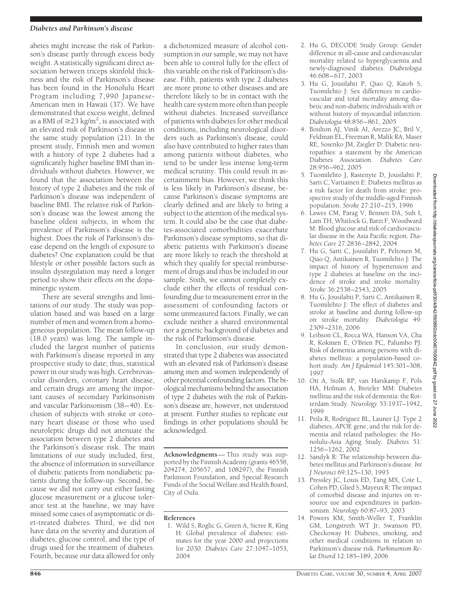# *Diabetes and Parkinson's disease*

abetes might increase the risk of Parkinson's disease partly through excess body weight. A statistically significant direct association between triceps skinfold thickness and the risk of Parkinson's disease has been found in the Honolulu Heart Program including 7,990 Japanese-American men in Hawaii (37). We have demonstrated that excess weight, defined as a BMI of  $\geq$ 23 kg/m<sup>2</sup>, is associated with an elevated risk of Parkinson's disease in the same study population (21). In the present study, Finnish men and women with a history of type 2 diabetes had a significantly higher baseline BMI than individuals without diabetes. However, we found that the association between the history of type 2 diabetes and the risk of Parkinson's disease was independent of baseline BMI. The relative risk of Parkinson's disease was the lowest among the baseline oldest subjects, in whom the prevalence of Parkinson's disease is the highest. Does the risk of Parkinson's disease depend on the length of exposure to diabetes? One explanation could be that lifestyle or other possible factors such as insulin dysregulation may need a longer period to show their effects on the dopaminergic system.

There are several strengths and limitations of our study. The study was population based and was based on a large number of men and women from a homogeneous population. The mean follow-up (18.0 years) was long. The sample included the largest number of patients with Parkinson's disease reported in any prospective study to date; thus, statistical power in our study was high. Cerebrovascular disorders, coronary heart disease, and certain drugs are among the important causes of secondary Parkinsonism and vascular Parkinsonism (38–40). Exclusion of subjects with stroke or coronary heart disease or those who used neuroleptic drugs did not attenuate the association between type 2 diabetes and the Parkinson's disease risk. The main limitations of our study included, first, the absence of information in surveillance of diabetic patients from nondiabetic patients during the follow-up. Second, because we did not carry out either fasting glucose measurement or a glucose tolerance test at the baseline, we may have missed some cases of asymptomatic or diet-treated diabetes. Third, we did not have data on the severity and duration of diabetes, glucose control, and the type of drugs used for the treatment of diabetes. Fourth, because our data allowed for only

a dichotomized measure of alcohol consumption in our sample, we may not have been able to control fully for the effect of this variable on the risk of Parkinson's disease. Fifth, patients with type 2 diabetes are more prone to other diseases and are therefore likely to be in contact with the health care system more often than people without diabetes. Increased surveillance of patients with diabetes for other medical conditions, including neurological disorders such as Parkinson's disease, could also have contributed to higher rates than among patients without diabetes, who tend to be under less intense long-term medical scrutiny. This could result in ascertainment bias. However, we think this is less likely in Parkinson's disease, because Parkinson's disease symptoms are clearly defined and are likely to bring a subject to the attention of the medical system. It could also be the case that diabetes-associated comorbidities exacerbate Parkinson's disease symptoms, so that diabetic patients with Parkinson's disease are more likely to reach the threshold at which they qualify for special reimbursement of drugs and thus be included in our sample. Sixth, we cannot completely exclude either the effects of residual confounding due to measurement error in the assessment of confounding factors or some unmeasured factors. Finally, we can exclude neither a shared environmental nor a genetic background of diabetes and the risk of Parkinson's disease.

In conclusion, our study demonstrated that type 2 diabetes was associated with an elevated risk of Parkinson's disease among men and women independently of other potential confounding factors. The biological mechanisms behind the association of type 2 diabetes with the risk of Parkinson's disease are, however, not understood at present. Further studies to replicate our findings in other populations should be acknowledged.

**Acknowledgments**— This study was supported by the Finnish Academy (grants 46558, 204274, 205657, and 108297), the Finnish Parkinson Foundation, and Special Research Funds of the Social Welfare and Health Board, City of Oulu.

# **References**

1. Wild S, Roglic G, Green A, Sicree R, King H: Global prevalence of diabetes: estimates for the year 2000 and projections for 2030. *Diabetes Care* 27:1047–1053, 2004

- 2. Hu G, DECODE Study Group: Gender difference in all-cause and cardiovascular mortality related to hyperglycaemia and newly-diagnosed diabetes. *Diabetologia* 46:608–617, 2003
- 3. Hu G, Jousilahti P, Qiao Q, Katoh S, Tuomilehto J: Sex differences in cardiovascular and total mortality among diabetic and non-diabetic individuals with or without history of myocardial infarction. *Diabetologia* 48:856–861, 2005
- 4. Boulton AJ, Vinik AI, Arezzo JC, Bril V, Feldman EL, Freeman R, Malik RA, Maser RE, Sosenko JM, Ziegler D: Diabetic neuropathies: a statement by the American Diabetes Association. *Diabetes Care* 28:956–962, 2005
- 5. Tuomilehto J, Rastenyte D, Jousilahti P, Sarti C, Vartiainen E: Diabetes mellitus as a risk factor for death from stroke: prospective study of the middle-aged Finnish population. *Stroke* 27:210–215, 1996
- 6. Lawes CM, Parag V, Bennett DA, Suh I, Lam TH, Whitlock G, Barzi F, Woodward M: Blood glucose and risk of cardiovascular disease in the Asia Pacific region. *Diabetes Care* 27:2836–2842, 2004
- 7. Hu G, Sarti C, Jousilahti P, Peltonen M, Qiao Q, Antikainen R, Tuomilehto J: The impact of history of hypertension and type 2 diabetes at baseline on the incidence of stroke and stroke mortality. *Stroke* 36:2538–2543, 2005
- 8. Hu G, Jousilahti P, Sarti C, Antikainen R, Tuomilehto J: The effect of diabetes and stroke at baseline and during follow-up on stroke mortality. *Diabetologia* 49: 2309–2316, 2006
- 9. Leibson CL, Rocca WA, Hanson VA, Cha R, Kokmen E, O'Brien PC, Palumbo PJ: Risk of dementia among persons with diabetes mellitus: a population-based cohort study. *Am J Epidemiol* 145:301–308, 1997
- 10. Ott A, Stolk RP, van Harskamp F, Pols HA, Hofman A, Breteler MM: Diabetes mellitus and the risk of dementia: the Rotterdam Study. *Neurology* 53:1937–1942, 1999
- 11. Peila R, Rodriguez BL, Launer LJ: Type 2 diabetes, APOE gene, and the risk for dementia and related pathologies: the Honolulu-Asia Aging Study. *Diabetes* 51: 1256–1262, 2002
- 12. Sandyk R: The relationship between diabetes mellitus and Parkinson's disease. *Int J Neurosci* 69:125–130, 1993
- 13. Pressley JC, Louis ED, Tang MX, Cote L, Cohen PD, Glied S, Mayeux R: The impact of comorbid disease and injuries on resource use and expenditures in parkinsonism. *Neurology* 60:87–93, 2003
- 14. Powers KM, Smith-Weller T, Franklin GM, Longstreth WT Jr, Swanson PD, Checkoway H: Diabetes, smoking, and other medical conditions in relation to Parkinson's disease risk. *Parkinsonism Relat Disord* 12:185–189, 2006